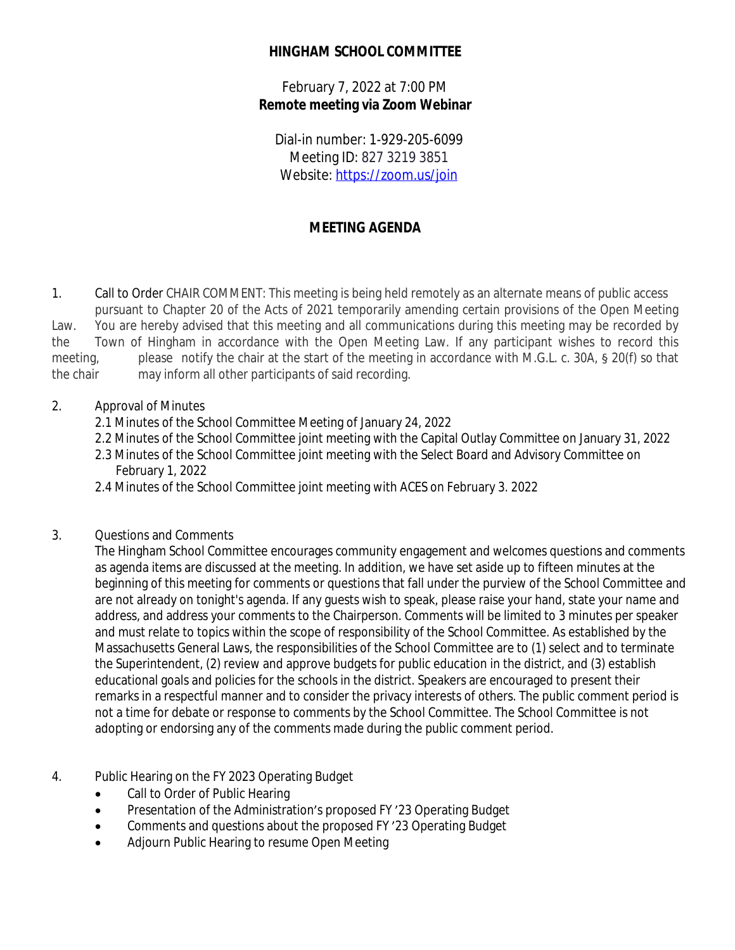## **HINGHAM SCHOOL COMMITTEE**

February 7, 2022 at 7:00 PM **Remote meeting via Zoom Webinar**

Dial-in number: 1-929-205-6099 Meeting ID: 827 3219 3851 Website: <https://zoom.us/join>

# **MEETING AGENDA**

1. Call to Order CHAIR COMMENT: This meeting is being held remotely as an alternate means of public access pursuant to Chapter 20 of the Acts of 2021 temporarily amending certain provisions of the Open Meeting Law. You are hereby advised that this meeting and all communications during this meeting may be recorded by the Town of Hingham in accordance with the Open Meeting Law. If any participant wishes to record this meeting, please notify the chair at the start of the meeting in accordance with M.G.L. c. 30A, § 20(f) so that the chair may inform all other participants of said recording.

#### 2. Approval of Minutes

- 2.1 Minutes of the School Committee Meeting of January 24, 2022
- 2.2 Minutes of the School Committee joint meeting with the Capital Outlay Committee on January 31, 2022
- 2.3 Minutes of the School Committee joint meeting with the Select Board and Advisory Committee on February 1, 2022
- 2.4 Minutes of the School Committee joint meeting with ACES on February 3. 2022

## 3. Questions and Comments

The Hingham School Committee encourages community engagement and welcomes questions and comments as agenda items are discussed at the meeting. In addition, we have set aside up to fifteen minutes at the beginning of this meeting for comments or questions that fall under the purview of the School Committee and are not already on tonight's agenda. If any guests wish to speak, please raise your hand, state your name and address, and address your comments to the Chairperson. Comments will be limited to 3 minutes per speaker and must relate to topics within the scope of responsibility of the School Committee. As established by the Massachusetts General Laws, the responsibilities of the School Committee are to (1) select and to terminate the Superintendent, (2) review and approve budgets for public education in the district, and (3) establish educational goals and policies for the schools in the district. Speakers are encouraged to present their remarks in a respectful manner and to consider the privacy interests of others. The public comment period is not a time for debate or response to comments by the School Committee. The School Committee is not adopting or endorsing any of the comments made during the public comment period.

- 4. Public Hearing on the FY 2023 Operating Budget
	- Call to Order of Public Hearing
	- Presentation of the Administration's proposed FY '23 Operating Budget
	- Comments and questions about the proposed FY '23 Operating Budget
	- Adjourn Public Hearing to resume Open Meeting